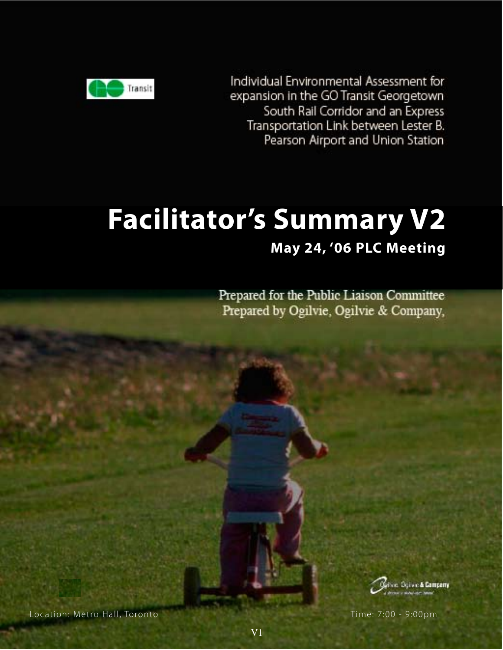

Individual Environmental Assessment for expansion in the GO Transit Georgetown South Rail Corridor and an Express Transportation Link between Lester B. Pearson Airport and Union Station

# **Facilitator's Summary V2 May 24, '06 PLC Meeting**

Prepared for the Public Liaison Committee Prepared by Ogilvie, Ogilvie & Company,



Location: Metro Hall, Toronto Time: 7:00 - 9:00pm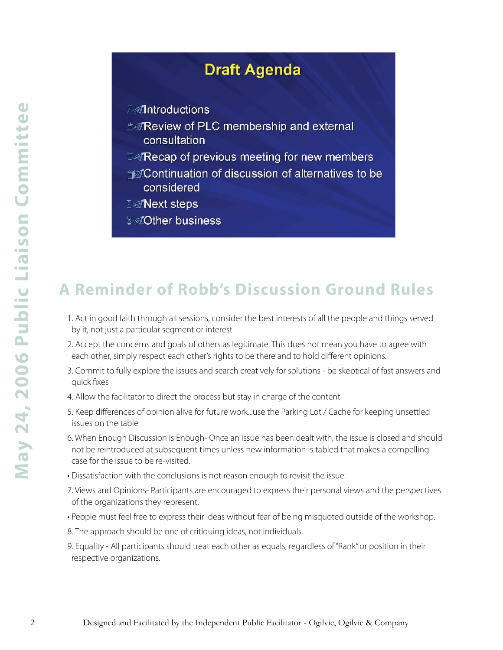## **Draft Agenda**

- 
- 
- 
- 
- 

# **A Reminder of Robb's Discussion Ground Rules**

- 1. Act in good faith through all sessions, consider the best interests of all the people and things served by it, not just a particular segment or interest
- 2. Accept the concerns and goals of others as legitimate. This does not mean you have to agree with each other, simply respect each other's rights to be there and to hold different opinions.
- 3. Commit to fully explore the issues and search creatively for solutions be skeptical of fast answers and quick fixes
- 4. Allow the facilitator to direct the process but stay in charge of the content
- 5. Keep differences of opinion alive for future work...use the Parking Lot / Cache for keeping unsettled issues on the table
- *2 Designed by Company in Public Company in Company in the Company of Facilitation*<br>
2 **Complete and Facilitation**<br>
2 **Complete and Facilitation**<br>
2 **Complete and Facilitation**<br>
2 **Complete and Facilitation**<br>
2 **Comple** 6. When Enough Discussion is Enough- Once an issue has been dealt with, the issue is closed and should not be reintroduced at subsequent times unless new information is tabled that makes a compelling case for the issue to be re-visited.
	- Dissatisfaction with the conclusions is not reason enough to revisit the issue.
	- 7. Views and Opinions- Participants are encouraged to express their personal views and the perspectives of the organizations they represent.
	- People must feel free to express their ideas without fear of being misquoted outside of the workshop.
	- 8. The approach should be one of critiquing ideas, not individuals.
	- 9. Equality All participants should treat each other as equals, regardless of "Rank" or position in their respective organizations.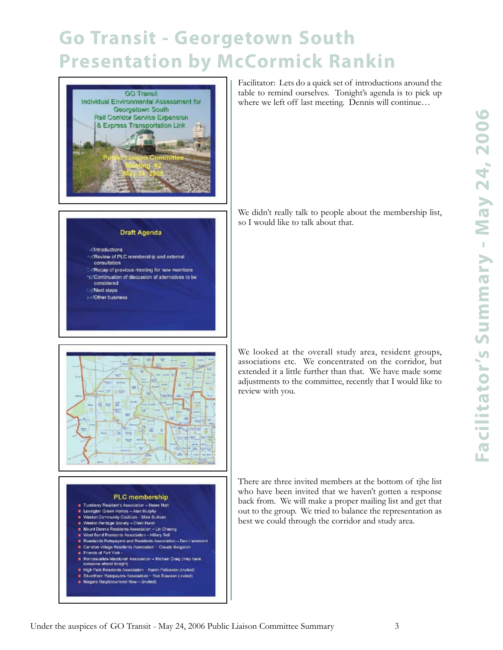# **Go Transit - Georgetown South Presentation by McCormick Rankin**



**Draft Agenda** 

- Review of PLC membership and external

Thi Recap of previous meeting for new members "scContinuation of discussion of alternatives to be

-:Introductions

consultation

considered Next steps **S-Other business**  Facilitator: Lets do a quick set of introductions around the table to remind ourselves. Tonight's agenda is to pick up where we left off last meeting. Dennis will continue…

We didn't really talk to people about the membership list, so I would like to talk about that.



We looked at the overall study area, resident groups, associations etc. We concentrated on the corridor, but extended it a little further than that. We have made some adjustments to the committee, recently that I would like to review with you.

#### **PLC** membership

- Tumberry Resident's Association Helen Mah
- **I** Lexington Green Homes Alan Murphy
- **\*** Weslan Community Coalition Mike Sulivan<br>\* Weslan Heritage Society Chen Harst
- Mount Dennis Residents Association Lin Cheong
- Worl Bend Residents Association Hillary Sell
- **Koselands Ratepayers and Residents Association Dan Hammond** Carleton Village Residents Association - Claude Bergeron
- lends of Fort York -
- oncesvalles-Macdonel, Association Michael Craig (may have<br>menne altend tonight)
- # High Park Residents Association Karen Palkowski (invited) \* Silverthorn Ratepayers Association - Ron Slawson (invited)
- Niagara Neighbourhood Now (invited)

There are three invited members at the bottom of tjhe list who have been invited that we haven't gotten a response back from. We will make a proper mailing list and get that out to the group. We tried to balance the representation as best we could through the corridor and study area.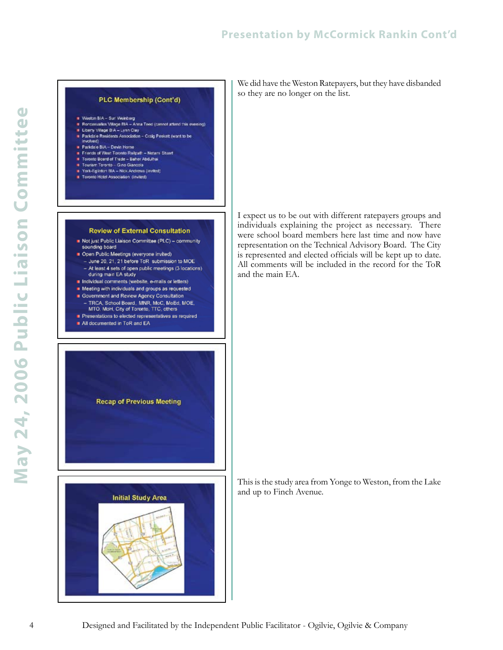#### PLC Membership (Cont'd)

- 
- 
- 
- 
- 
- 
- 
- -
- 
- 
- 
- 
- 
- 
- 
- 

We did have the Weston Ratepayers, but they have disbanded so they are no longer on the list.

I expect us to be out with different ratepayers groups and individuals explaining the project as necessary. There were school board members here last time and now have representation on the Technical Advisory Board. The City is represented and elected officials will be kept up to date. All comments will be included in the record for the ToR and the main EA.



This is the study area from Yonge to Weston, from the Lake and up to Finch Avenue.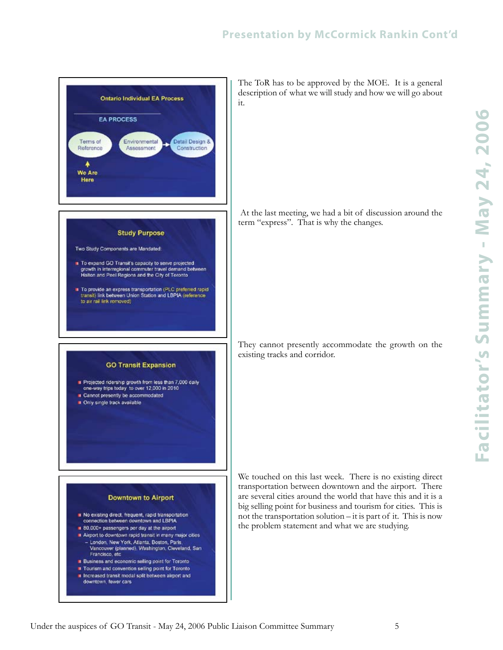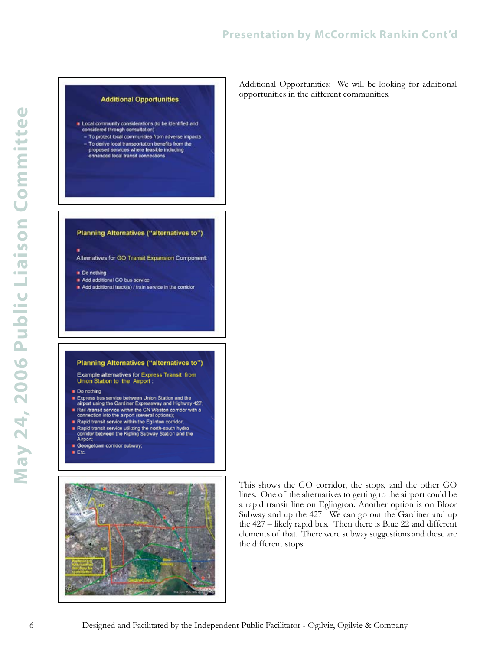

**Additional Opportunities** 

- -

- 
- 
- 
- 
- 
- 



This shows the GO corridor, the stops, and the other GO lines. One of the alternatives to getting to the airport could be a rapid transit line on Eglington. Another option is on Bloor Subway and up the 427. We can go out the Gardiner and up the 427 – likely rapid bus. Then there is Blue 22 and different elements of that. There were subway suggestions and these are the different stops.

Additional Opportunities: We will be looking for additional opportunities in the different communities.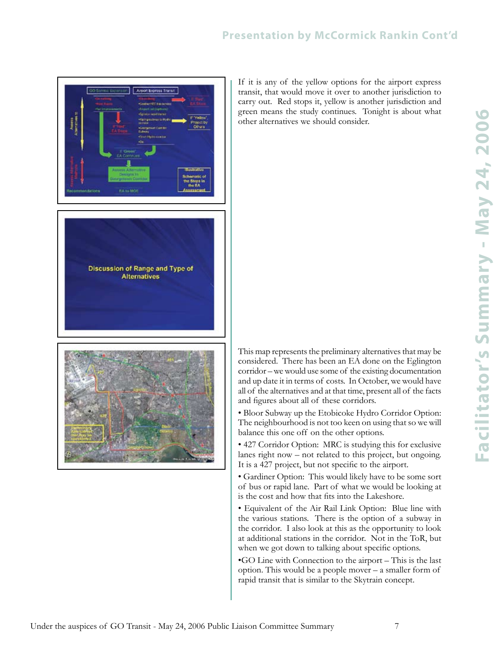

If it is any of the yellow options for the airport express transit, that would move it over to another jurisdiction to carry out. Red stops it, yellow is another jurisdiction and green means the study continues. Tonight is about what other alternatives we should consider.

This map represents the preliminary alternatives that may be considered. There has been an EA done on the Eglington corridor – we would use some of the existing documentation and up date it in terms of costs. In October, we would have all of the alternatives and at that time, present all of the facts and figures about all of these corridors.

• Bloor Subway up the Etobicoke Hydro Corridor Option: The neighbourhood is not too keen on using that so we will balance this one off on the other options.

• 427 Corridor Option: MRC is studying this for exclusive lanes right now – not related to this project, but ongoing. It is a 427 project, but not specific to the airport.

• Gardiner Option: This would likely have to be some sort of bus or rapid lane. Part of what we would be looking at is the cost and how that fits into the Lakeshore.

• Equivalent of the Air Rail Link Option: Blue line with the various stations. There is the option of a subway in the corridor. I also look at this as the opportunity to look at additional stations in the corridor. Not in the ToR, but when we got down to talking about specific options.

•GO Line with Connection to the airport – This is the last option. This would be a people mover – a smaller form of rapid transit that is similar to the Skytrain concept.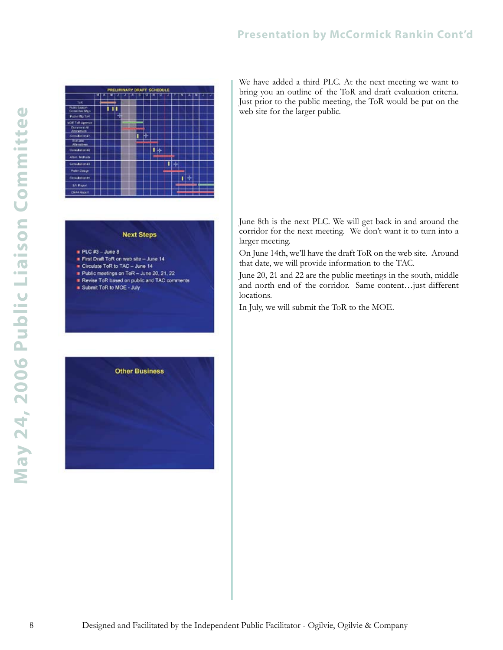| PRELIVINARY DRAFT SCHEDULE                 |   |  |  |  |  |  |    |  |  |   |  |  |  |  |  |  |
|--------------------------------------------|---|--|--|--|--|--|----|--|--|---|--|--|--|--|--|--|
|                                            | ਯ |  |  |  |  |  |    |  |  |   |  |  |  |  |  |  |
| TuR                                        |   |  |  |  |  |  |    |  |  |   |  |  |  |  |  |  |
| <b>Public Engine</b><br><b>Growthe Day</b> |   |  |  |  |  |  |    |  |  |   |  |  |  |  |  |  |
| <b>Public Mar Told</b>                     |   |  |  |  |  |  |    |  |  |   |  |  |  |  |  |  |
| MOE TuB Approve                            |   |  |  |  |  |  |    |  |  |   |  |  |  |  |  |  |
| Donated All<br>Attendition                 |   |  |  |  |  |  |    |  |  |   |  |  |  |  |  |  |
| denutationals.                             |   |  |  |  |  |  | 日本 |  |  |   |  |  |  |  |  |  |
| <b>Turcate</b><br>Atlentives               |   |  |  |  |  |  |    |  |  |   |  |  |  |  |  |  |
| <b>Denutsion #2</b>                        |   |  |  |  |  |  |    |  |  | N |  |  |  |  |  |  |
| Alter, McRain                              |   |  |  |  |  |  |    |  |  |   |  |  |  |  |  |  |
| Denubation 40                              |   |  |  |  |  |  |    |  |  |   |  |  |  |  |  |  |
| Prefer Design                              |   |  |  |  |  |  |    |  |  |   |  |  |  |  |  |  |
| <b>Desubstation #4</b>                     |   |  |  |  |  |  |    |  |  |   |  |  |  |  |  |  |
| <b>EA Higgst</b>                           |   |  |  |  |  |  |    |  |  |   |  |  |  |  |  |  |
| <b>CEAA Roof</b>                           |   |  |  |  |  |  |    |  |  |   |  |  |  |  |  |  |

- 
- 
- 
- 
- 



We have added a third PLC. At the next meeting we want to bring you an outline of the ToR and draft evaluation criteria. Just prior to the public meeting, the ToR would be put on the web site for the larger public.

June 8th is the next PLC. We will get back in and around the corridor for the next meeting. We don't want it to turn into a larger meeting.

On June 14th, we'll have the draft ToR on the web site. Around that date, we will provide information to the TAC.

June 20, 21 and 22 are the public meetings in the south, middle and north end of the corridor. Same content…just different locations.

In July, we will submit the ToR to the MOE.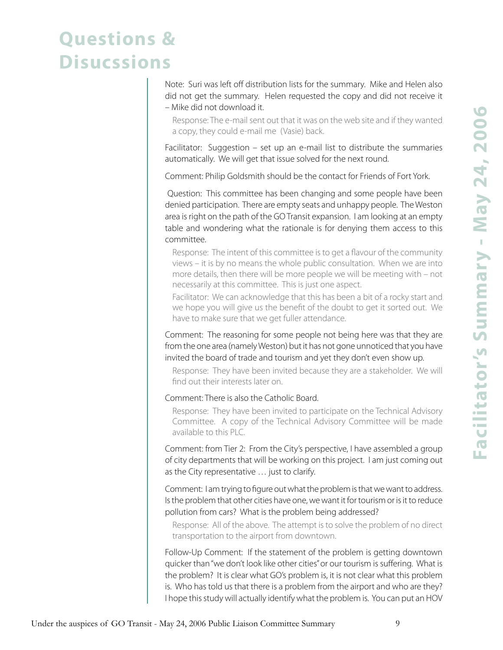# **Questions & Disucssions**

Note: Suri was left off distribution lists for the summary. Mike and Helen also did not get the summary. Helen requested the copy and did not receive it – Mike did not download it.

Response: The e-mail sent out that it was on the web site and if they wanted a copy, they could e-mail me (Vasie) back.

Facilitator: Suggestion – set up an e-mail list to distribute the summaries automatically. We will get that issue solved for the next round.

Comment: Philip Goldsmith should be the contact for Friends of Fort York.

 Question: This committee has been changing and some people have been denied participation. There are empty seats and unhappy people. The Weston area is right on the path of the GO Transit expansion. I am looking at an empty table and wondering what the rationale is for denying them access to this committee.

Response: The intent of this committee is to get a flavour of the community views – it is by no means the whole public consultation. When we are into more details, then there will be more people we will be meeting with – not necessarily at this committee. This is just one aspect.

Facilitator: We can acknowledge that this has been a bit of a rocky start and we hope you will give us the benefit of the doubt to get it sorted out. We have to make sure that we get fuller attendance.

Comment: The reasoning for some people not being here was that they are from the one area (namely Weston) but it has not gone unnoticed that you have invited the board of trade and tourism and yet they don't even show up.

Response: They have been invited because they are a stakeholder. We will find out their interests later on.

#### Comment: There is also the Catholic Board.

Response: They have been invited to participate on the Technical Advisory Committee. A copy of the Technical Advisory Committee will be made available to this PLC.

Comment: from Tier 2: From the City's perspective, I have assembled a group of city departments that will be working on this project. I am just coming out as the City representative … just to clarify.

Comment: I am trying to figure out what the problem is that we want to address. Is the problem that other cities have one, we want it for tourism or is it to reduce pollution from cars? What is the problem being addressed?

Response: All of the above. The attempt is to solve the problem of no direct transportation to the airport from downtown.

Follow-Up Comment: If the statement of the problem is getting downtown quicker than "we don't look like other cities" or our tourism is suffering. What is the problem? It is clear what GO's problem is, it is not clear what this problem is. Who has told us that there is a problem from the airport and who are they? I hope this study will actually identify what the problem is. You can put an HOV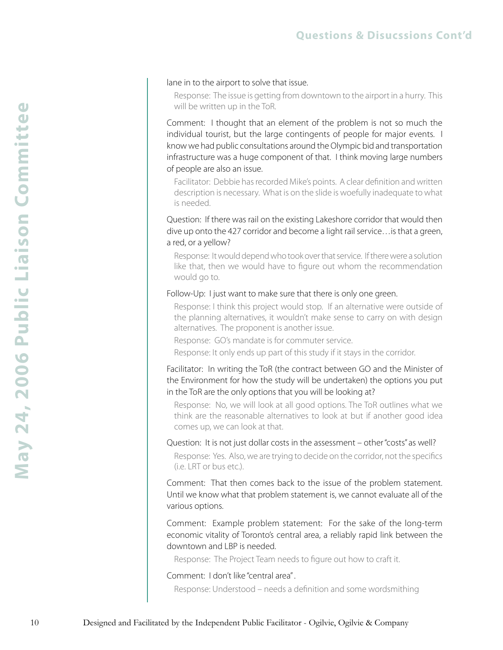#### lane in to the airport to solve that issue.

Response: The issue is getting from downtown to the airport in a hurry. This will be written up in the ToR.

10 Designed and Facilitated by the Independent Public Facilitation Control Committee Company of people is observed by the Independent Order Company Company and Company of the Company of the Independent Public Facilitation Comment: I thought that an element of the problem is not so much the individual tourist, but the large contingents of people for major events. I know we had public consultations around the Olympic bid and transportation infrastructure was a huge component of that. I think moving large numbers of people are also an issue.

Facilitator: Debbie has recorded Mike's points. A clear definition and written description is necessary. What is on the slide is woefully inadequate to what is needed.

Question: If there was rail on the existing Lakeshore corridor that would then dive up onto the 427 corridor and become a light rail service…is that a green, a red, or a yellow?

Response: It would depend who took over that service. If there were a solution like that, then we would have to figure out whom the recommendation would go to.

#### Follow-Up: I just want to make sure that there is only one green.

Response: I think this project would stop. If an alternative were outside of the planning alternatives, it wouldn't make sense to carry on with design alternatives. The proponent is another issue.

Response: GO's mandate is for commuter service.

Response: It only ends up part of this study if it stays in the corridor.

Facilitator: In writing the ToR (the contract between GO and the Minister of the Environment for how the study will be undertaken) the options you put in the ToR are the only options that you will be looking at?

Response: No, we will look at all good options. The ToR outlines what we think are the reasonable alternatives to look at but if another good idea comes up, we can look at that.

#### Question: It is not just dollar costs in the assessment – other "costs" as well?

Response: Yes. Also, we are trying to decide on the corridor, not the specifics (i.e. LRT or bus etc.).

Comment: That then comes back to the issue of the problem statement. Until we know what that problem statement is, we cannot evaluate all of the various options.

Comment: Example problem statement: For the sake of the long-term economic vitality of Toronto's central area, a reliably rapid link between the downtown and LBP is needed.

Response: The Project Team needs to figure out how to craft it.

Comment: I don't like "central area" .

Response: Understood – needs a definition and some wordsmithing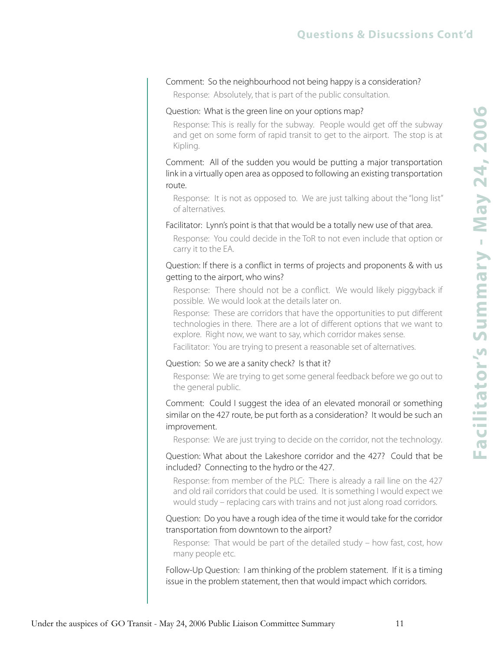#### Comment: So the neighbourhood not being happy is a consideration?

Response: Absolutely, that is part of the public consultation.

#### Question: What is the green line on your options map?

Response: This is really for the subway. People would get off the subway and get on some form of rapid transit to get to the airport. The stop is at Kipling.

Comment: All of the sudden you would be putting a major transportation link in a virtually open area as opposed to following an existing transportation route.

Response: It is not as opposed to. We are just talking about the "long list" of alternatives.

#### Facilitator: Lynn's point is that that would be a totally new use of that area.

Response: You could decide in the ToR to not even include that option or carry it to the EA.

#### Question: If there is a conflict in terms of projects and proponents & with us getting to the airport, who wins?

Response: There should not be a conflict. We would likely piggyback if possible. We would look at the details later on.

Response: These are corridors that have the opportunities to put different technologies in there. There are a lot of different options that we want to explore. Right now, we want to say, which corridor makes sense.

Facilitator: You are trying to present a reasonable set of alternatives.

#### Question: So we are a sanity check? Is that it?

Response: We are trying to get some general feedback before we go out to the general public.

Comment: Could I suggest the idea of an elevated monorail or something similar on the 427 route, be put forth as a consideration? It would be such an improvement.

Response: We are just trying to decide on the corridor, not the technology.

#### Question: What about the Lakeshore corridor and the 427? Could that be included? Connecting to the hydro or the 427.

Response: from member of the PLC: There is already a rail line on the 427 and old rail corridors that could be used. It is something I would expect we would study – replacing cars with trains and not just along road corridors.

#### Question: Do you have a rough idea of the time it would take for the corridor transportation from downtown to the airport?

Response: That would be part of the detailed study – how fast, cost, how many people etc.

Follow-Up Question: I am thinking of the problem statement. If it is a timing issue in the problem statement, then that would impact which corridors.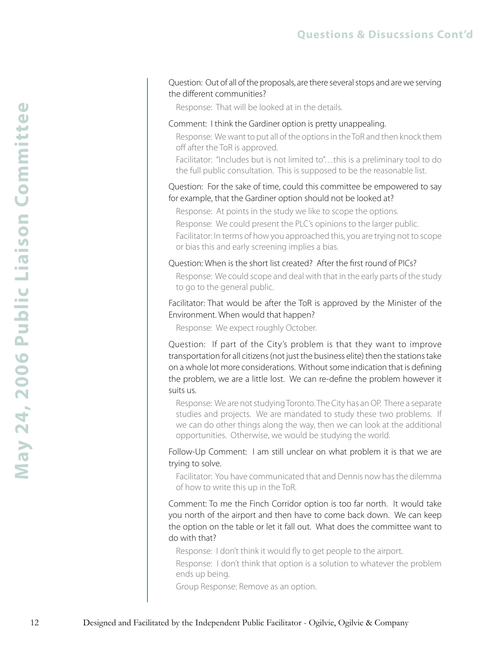#### Question: Out of all of the proposals, are there several stops and are we serving the different communities?

Response: That will be looked at in the details.

#### Comment: I think the Gardiner option is pretty unappealing.

Response: We want to put all of the options in the ToR and then knock them off after the ToR is approved.

Facilitator: "Includes but is not limited to"…this is a preliminary tool to do the full public consultation. This is supposed to be the reasonable list.

#### Question: For the sake of time, could this committee be empowered to say for example, that the Gardiner option should not be looked at?

Response: At points in the study we like to scope the options.

Response: We could present the PLC's opinions to the larger public.

Facilitator: In terms of how you approached this, you are trying not to scope or bias this and early screening implies a bias.

#### Question: When is the short list created? After the first round of PICs?

Response: We could scope and deal with that in the early parts of the study to go to the general public.

#### Facilitator: That would be after the ToR is approved by the Minister of the Environment. When would that happen?

Response: We expect roughly October.

12 Designed 20 Technology (12 Technology 12 Technology 12 Technology 12 Technology 12 Technology 12 Technology 12 Technology 12 Technology 12 Technology 12 Technology 12 Technology 12 Technology 12 Technology 12 Technolog Question: If part of the City's problem is that they want to improve transportation for all citizens (not just the business elite) then the stations take on a whole lot more considerations. Without some indication that is defining the problem, we are a little lost. We can re-define the problem however it suits us.

Response: We are not studying Toronto. The City has an OP. There a separate studies and projects. We are mandated to study these two problems. If we can do other things along the way, then we can look at the additional opportunities. Otherwise, we would be studying the world.

Follow-Up Comment: I am still unclear on what problem it is that we are trying to solve.

Facilitator: You have communicated that and Dennis now has the dilemma of how to write this up in the ToR.

Comment: To me the Finch Corridor option is too far north. It would take you north of the airport and then have to come back down. We can keep the option on the table or let it fall out. What does the committee want to do with that?

Response: I don't think it would fly to get people to the airport.

Response: I don't think that option is a solution to whatever the problem ends up being.

Group Response: Remove as an option.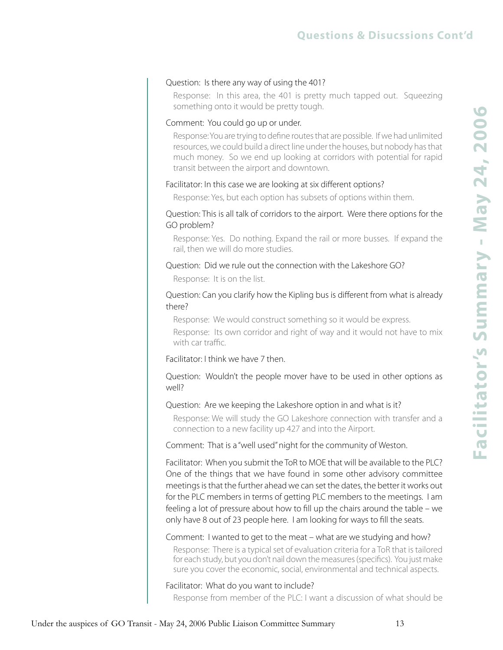#### Question: Is there any way of using the 401?

Response: In this area, the 401 is pretty much tapped out. Squeezing something onto it would be pretty tough.

#### Comment: You could go up or under.

Response: You are trying to define routes that are possible. If we had unlimited resources, we could build a direct line under the houses, but nobody has that much money. So we end up looking at corridors with potential for rapid transit between the airport and downtown.

#### Facilitator: In this case we are looking at six different options?

Response: Yes, but each option has subsets of options within them.

#### Question: This is all talk of corridors to the airport. Were there options for the GO problem?

Response: Yes. Do nothing. Expand the rail or more busses. If expand the rail, then we will do more studies.

### Question: Did we rule out the connection with the Lakeshore GO?

Response: It is on the list.

### Question: Can you clarify how the Kipling bus is different from what is already there?

Response: We would construct something so it would be express.

Response: Its own corridor and right of way and it would not have to mix with car traffic.

#### Facilitator: I think we have 7 then.

Question: Wouldn't the people mover have to be used in other options as well?

### Question: Are we keeping the Lakeshore option in and what is it?

Response: We will study the GO Lakeshore connection with transfer and a connection to a new facility up 427 and into the Airport.

Comment: That is a "well used" night for the community of Weston.

Facilitator: When you submit the ToR to MOE that will be available to the PLC? One of the things that we have found in some other advisory committee meetings is that the further ahead we can set the dates, the better it works out for the PLC members in terms of getting PLC members to the meetings. I am feeling a lot of pressure about how to fill up the chairs around the table – we only have 8 out of 23 people here. I am looking for ways to fill the seats.

### Comment: I wanted to get to the meat – what are we studying and how?

Response: There is a typical set of evaluation criteria for a ToR that is tailored for each study, but you don't nail down the measures (specifics). You just make sure you cover the economic, social, environmental and technical aspects.

### Facilitator: What do you want to include?

Response from member of the PLC: I want a discussion of what should be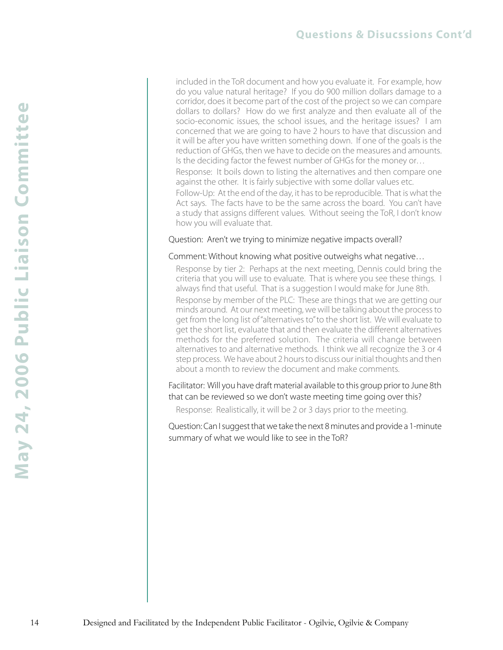### **Questions & Disucssions Cont'd**

included in the ToR document and how you evaluate it. For example, how do you value natural heritage? If you do 900 million dollars damage to a corridor, does it become part of the cost of the project so we can compare dollars to dollars? How do we first analyze and then evaluate all of the socio-economic issues, the school issues, and the heritage issues? I am concerned that we are going to have 2 hours to have that discussion and it will be after you have written something down. If one of the goals is the reduction of GHGs, then we have to decide on the measures and amounts. Is the deciding factor the fewest number of GHGs for the money or… Response: It boils down to listing the alternatives and then compare one

Follow-Up: At the end of the day, it has to be reproducible. That is what the Act says. The facts have to be the same across the board. You can't have a study that assigns different values. Without seeing the ToR, I don't know how you will evaluate that.

#### Question: Aren't we trying to minimize negative impacts overall?

#### Comment: Without knowing what positive outweighs what negative…

against the other. It is fairly subjective with some dollar values etc.

14 Designed and Facilitative discussions of the Company of the Independent Public Facilitative Technology on the Company and the Public Facilitative Technology on the Public Facilitative Company (and Facilitative Company Response by tier 2: Perhaps at the next meeting, Dennis could bring the criteria that you will use to evaluate. That is where you see these things. I always find that useful. That is a suggestion I would make for June 8th. Response by member of the PLC: These are things that we are getting our minds around. At our next meeting, we will be talking about the process to get from the long list of "alternatives to" to the short list. We will evaluate to get the short list, evaluate that and then evaluate the different alternatives methods for the preferred solution. The criteria will change between alternatives to and alternative methods. I think we all recognize the 3 or 4 step process. We have about 2 hours to discuss our initial thoughts and then about a month to review the document and make comments.

Facilitator: Will you have draft material available to this group prior to June 8th that can be reviewed so we don't waste meeting time going over this?

Response: Realistically, it will be 2 or 3 days prior to the meeting.

Question: Can I suggest that we take the next 8 minutes and provide a 1-minute summary of what we would like to see in the ToR?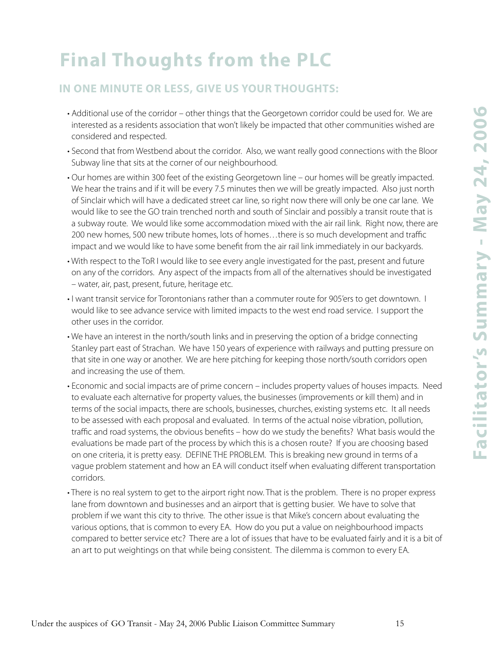# **Final Thoughts from the PLC**

### **IN ONE MINUTE OR LESS, GIVE US YOUR THOUGHTS:**

- Additional use of the corridor other things that the Georgetown corridor could be used for. We are interested as a residents association that won't likely be impacted that other communities wished are considered and respected.
- Second that from Westbend about the corridor. Also, we want really good connections with the Bloor Subway line that sits at the corner of our neighbourhood.
- Our homes are within 300 feet of the existing Georgetown line our homes will be greatly impacted. We hear the trains and if it will be every 7.5 minutes then we will be greatly impacted. Also just north of Sinclair which will have a dedicated street car line, so right now there will only be one car lane. We would like to see the GO train trenched north and south of Sinclair and possibly a transit route that is a subway route. We would like some accommodation mixed with the air rail link. Right now, there are 200 new homes, 500 new tribute homes, lots of homes…there is so much development and traffic impact and we would like to have some benefit from the air rail link immediately in our backyards.
- With respect to the ToR I would like to see every angle investigated for the past, present and future on any of the corridors. Any aspect of the impacts from all of the alternatives should be investigated – water, air, past, present, future, heritage etc.
- I want transit service for Torontonians rather than a commuter route for 905'ers to get downtown. I would like to see advance service with limited impacts to the west end road service. I support the other uses in the corridor.
- We have an interest in the north/south links and in preserving the option of a bridge connecting Stanley part east of Strachan. We have 150 years of experience with railways and putting pressure on that site in one way or another. We are here pitching for keeping those north/south corridors open and increasing the use of them.
- Economic and social impacts are of prime concern includes property values of houses impacts. Need to evaluate each alternative for property values, the businesses (improvements or kill them) and in terms of the social impacts, there are schools, businesses, churches, existing systems etc. It all needs to be assessed with each proposal and evaluated. In terms of the actual noise vibration, pollution, traffic and road systems, the obvious benefits – how do we study the benefits? What basis would the evaluations be made part of the process by which this is a chosen route? If you are choosing based on one criteria, it is pretty easy. DEFINE THE PROBLEM. This is breaking new ground in terms of a vague problem statement and how an EA will conduct itself when evaluating different transportation corridors.
- There is no real system to get to the airport right now. That is the problem. There is no proper express lane from downtown and businesses and an airport that is getting busier. We have to solve that problem if we want this city to thrive. The other issue is that Mike's concern about evaluating the various options, that is common to every EA. How do you put a value on neighbourhood impacts compared to better service etc? There are a lot of issues that have to be evaluated fairly and it is a bit of an art to put weightings on that while being consistent. The dilemma is common to every EA.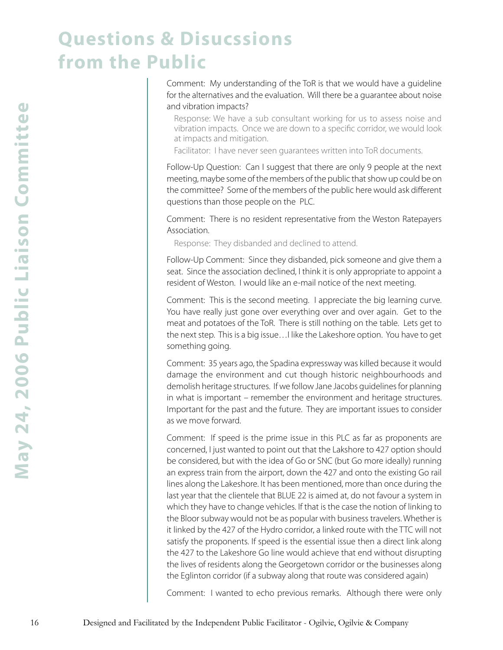# **Questions & Disucssions from the Public**

Comment: My understanding of the ToR is that we would have a guideline for the alternatives and the evaluation. Will there be a guarantee about noise and vibration impacts?

Response: We have a sub consultant working for us to assess noise and vibration impacts. Once we are down to a specific corridor, we would look at impacts and mitigation.

Facilitator: I have never seen guarantees written into ToR documents.

Follow-Up Question: Can I suggest that there are only 9 people at the next meeting, maybe some of the members of the public that show up could be on the committee? Some of the members of the public here would ask different questions than those people on the PLC.

Comment: There is no resident representative from the Weston Ratepayers Association.

Response: They disbanded and declined to attend.

Follow-Up Comment: Since they disbanded, pick someone and give them a seat. Since the association declined, I think it is only appropriate to appoint a resident of Weston. I would like an e-mail notice of the next meeting.

Comment: This is the second meeting. I appreciate the big learning curve. You have really just gone over everything over and over again. Get to the meat and potatoes of the ToR. There is still nothing on the table. Lets get to the next step. This is a big issue…I like the Lakeshore option. You have to get something going.

Comment: 35 years ago, the Spadina expressway was killed because it would damage the environment and cut though historic neighbourhoods and demolish heritage structures. If we follow Jane Jacobs guidelines for planning in what is important – remember the environment and heritage structures. Important for the past and the future. They are important issues to consider as we move forward.

16 Designed and Facilitated by the International Company of the International Company and Company and Company and Company and Company and Company and Company and Company and Company and Company and Company and Company and Comment: If speed is the prime issue in this PLC as far as proponents are concerned, I just wanted to point out that the Lakshore to 427 option should be considered, but with the idea of Go or SNC (but Go more ideally) running an express train from the airport, down the 427 and onto the existing Go rail lines along the Lakeshore. It has been mentioned, more than once during the last year that the clientele that BLUE 22 is aimed at, do not favour a system in which they have to change vehicles. If that is the case the notion of linking to the Bloor subway would not be as popular with business travelers. Whether is it linked by the 427 of the Hydro corridor, a linked route with the TTC will not satisfy the proponents. If speed is the essential issue then a direct link along the 427 to the Lakeshore Go line would achieve that end without disrupting the lives of residents along the Georgetown corridor or the businesses along the Eglinton corridor (if a subway along that route was considered again)

Comment: I wanted to echo previous remarks. Although there were only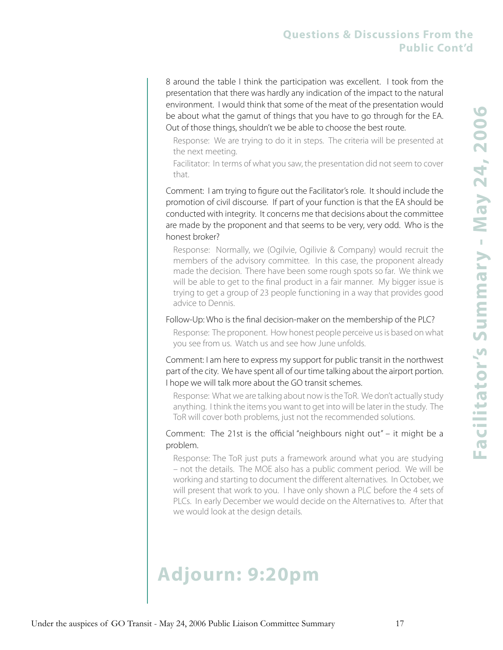### **Questions & Discussions From the Public Cont'd**

8 around the table I think the participation was excellent. I took from the presentation that there was hardly any indication of the impact to the natural environment. I would think that some of the meat of the presentation would be about what the gamut of things that you have to go through for the EA. Out of those things, shouldn't we be able to choose the best route.

- Response: We are trying to do it in steps. The criteria will be presented at the next meeting.
- Facilitator: In terms of what you saw, the presentation did not seem to cover that.

Comment: I am trying to figure out the Facilitator's role. It should include the promotion of civil discourse. If part of your function is that the EA should be conducted with integrity. It concerns me that decisions about the committee are made by the proponent and that seems to be very, very odd. Who is the honest broker?

Response: Normally, we (Ogilvie, Ogilivie & Company) would recruit the members of the advisory committee. In this case, the proponent already made the decision. There have been some rough spots so far. We think we will be able to get to the final product in a fair manner. My bigger issue is trying to get a group of 23 people functioning in a way that provides good advice to Dennis.

#### Follow-Up: Who is the final decision-maker on the membership of the PLC?

Response: The proponent. How honest people perceive us is based on what you see from us. Watch us and see how June unfolds.

Comment: I am here to express my support for public transit in the northwest part of the city. We have spent all of our time talking about the airport portion. I hope we will talk more about the GO transit schemes.

Response: What we are talking about now is the ToR. We don't actually study anything. I think the items you want to get into will be later in the study. The ToR will cover both problems, just not the recommended solutions.

#### Comment: The 21st is the official "neighbours night out" – it might be a problem.

Response: The ToR just puts a framework around what you are studying – not the details. The MOE also has a public comment period. We will be working and starting to document the different alternatives. In October, we will present that work to you. I have only shown a PLC before the 4 sets of PLCs. In early December we would decide on the Alternatives to. After that we would look at the design details.

# **Adjourn: 9:20pm**